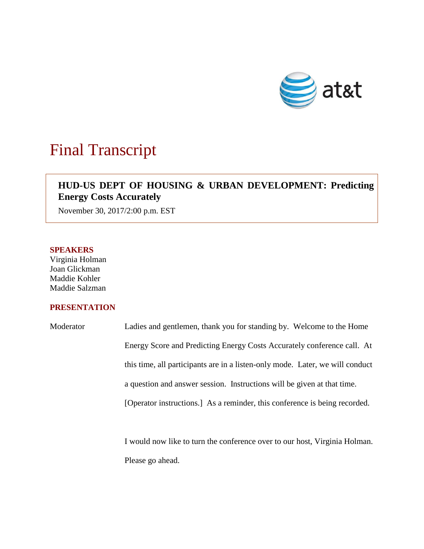

# Final Transcript

# **HUD-US DEPT OF HOUSING & URBAN DEVELOPMENT: Predicting Energy Costs Accurately**

November 30, 2017/2:00 p.m. EST

#### **SPEAKERS**

Virginia Holman Joan Glickman M addie Salzman Maddie Kohler

### **PRESENTATION**

| Moderator | Ladies and gentlemen, thank you for standing by. Welcome to the Home          |
|-----------|-------------------------------------------------------------------------------|
|           | Energy Score and Predicting Energy Costs Accurately conference call. At       |
|           | this time, all participants are in a listen-only mode. Later, we will conduct |
|           | a question and answer session. Instructions will be given at that time.       |
|           | [Operator instructions.] As a reminder, this conference is being recorded.    |
|           |                                                                               |

I would now like to turn the conference over to our host, Virginia Holman. Please go ahead.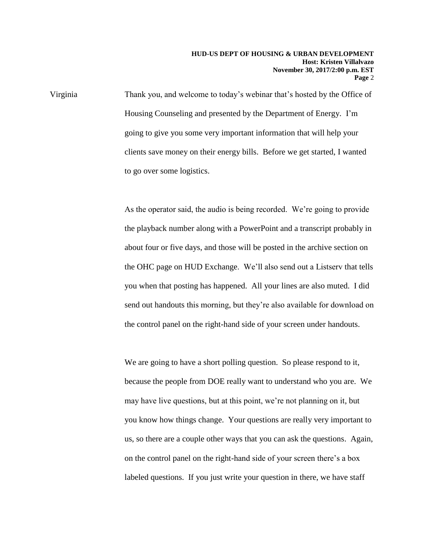Virginia Thank you, and welcome to today's webinar that's hosted by the Office of Housing Counseling and presented by the Department of Energy. I'm going to give you some very important information that will help your clients save money on their energy bills. Before we get started, I wanted to go over some logistics.

> As the operator said, the audio is being recorded. We're going to provide the playback number along with a PowerPoint and a transcript probably in about four or five days, and those will be posted in the archive section on the OHC page on HUD Exchange. We'll also send out a Listserv that tells you when that posting has happened. All your lines are also muted. I did send out handouts this morning, but they're also available for download on the control panel on the right-hand side of your screen under handouts.

> We are going to have a short polling question. So please respond to it, because the people from DOE really want to understand who you are. We may have live questions, but at this point, we're not planning on it, but you know how things change. Your questions are really very important to us, so there are a couple other ways that you can ask the questions. Again, on the control panel on the right-hand side of your screen there's a box labeled questions. If you just write your question in there, we have staff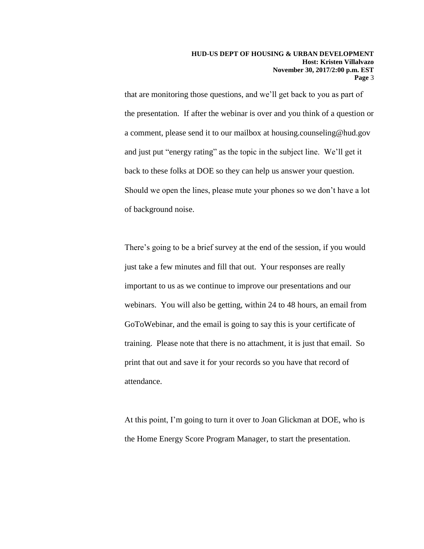that are monitoring those questions, and we'll get back to you as part of the presentation. If after the webinar is over and you think of a question or a comment, please send it to our mailbox at housing.counseling@hud.gov and just put "energy rating" as the topic in the subject line. We'll get it back to these folks at DOE so they can help us answer your question. Should we open the lines, please mute your phones so we don't have a lot of background noise.

There's going to be a brief survey at the end of the session, if you would just take a few minutes and fill that out. Your responses are really important to us as we continue to improve our presentations and our webinars. You will also be getting, within 24 to 48 hours, an email from GoToWebinar, and the email is going to say this is your certificate of training. Please note that there is no attachment, it is just that email. So print that out and save it for your records so you have that record of attendance.

At this point, I'm going to turn it over to Joan Glickman at DOE, who is the Home Energy Score Program Manager, to start the presentation.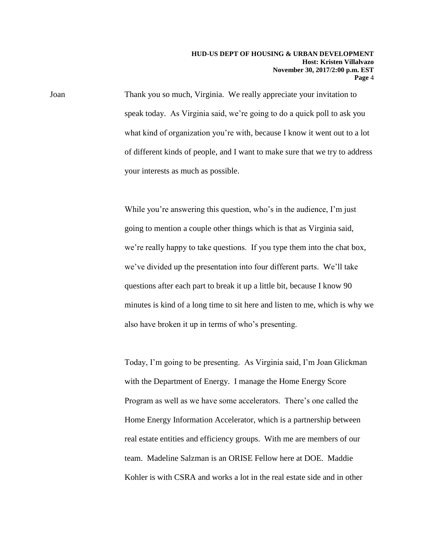Joan Thank you so much, Virginia. We really appreciate your invitation to speak today. As Virginia said, we're going to do a quick poll to ask you what kind of organization you're with, because I know it went out to a lot of different kinds of people, and I want to make sure that we try to address your interests as much as possible.

> While you're answering this question, who's in the audience, I'm just going to mention a couple other things which is that as Virginia said, we're really happy to take questions. If you type them into the chat box, we've divided up the presentation into four different parts. We'll take questions after each part to break it up a little bit, because I know 90 minutes is kind of a long time to sit here and listen to me, which is why we also have broken it up in terms of who's presenting.

Today, I'm going to be presenting. As Virginia said, I'm Joan Glickman with the Department of Energy. I manage the Home Energy Score Program as well as we have some accelerators. There's one called the Home Energy Information Accelerator, which is a partnership between real estate entities and efficiency groups. With me are members of our team. Madeline Salzman is an ORISE Fellow here at DOE. Maddie Kohler is with CSRA and works a lot in the real estate side and in other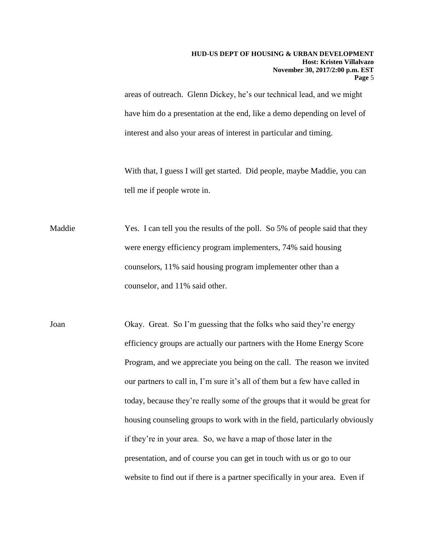areas of outreach. Glenn Dickey, he's our technical lead, and we might have him do a presentation at the end, like a demo depending on level of interest and also your areas of interest in particular and timing.

With that, I guess I will get started. Did people, maybe Maddie, you can tell me if people wrote in.

Maddie Yes. I can tell you the results of the poll. So 5% of people said that they were energy efficiency program implementers, 74% said housing counselors, 11% said housing program implementer other than a counselor, and 11% said other.

Joan Okay. Great. So I'm guessing that the folks who said they're energy efficiency groups are actually our partners with the Home Energy Score Program, and we appreciate you being on the call. The reason we invited our partners to call in, I'm sure it's all of them but a few have called in today, because they're really some of the groups that it would be great for housing counseling groups to work with in the field, particularly obviously if they're in your area. So, we have a map of those later in the presentation, and of course you can get in touch with us or go to our website to find out if there is a partner specifically in your area. Even if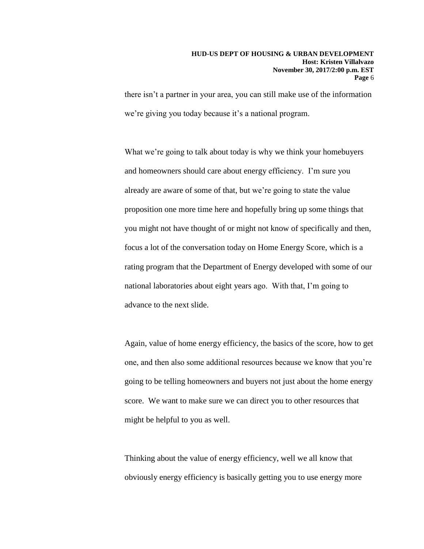there isn't a partner in your area, you can still make use of the information we're giving you today because it's a national program.

What we're going to talk about today is why we think your homebuyers and homeowners should care about energy efficiency. I'm sure you already are aware of some of that, but we're going to state the value proposition one more time here and hopefully bring up some things that you might not have thought of or might not know of specifically and then, focus a lot of the conversation today on Home Energy Score, which is a rating program that the Department of Energy developed with some of our national laboratories about eight years ago. With that, I'm going to advance to the next slide.

Again, value of home energy efficiency, the basics of the score, how to get one, and then also some additional resources because we know that you're going to be telling homeowners and buyers not just about the home energy score. We want to make sure we can direct you to other resources that might be helpful to you as well.

Thinking about the value of energy efficiency, well we all know that obviously energy efficiency is basically getting you to use energy more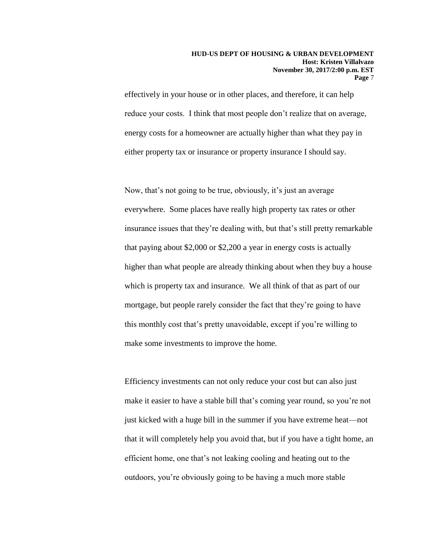effectively in your house or in other places, and therefore, it can help reduce your costs. I think that most people don't realize that on average, energy costs for a homeowner are actually higher than what they pay in either property tax or insurance or property insurance I should say.

Now, that's not going to be true, obviously, it's just an average everywhere. Some places have really high property tax rates or other insurance issues that they're dealing with, but that's still pretty remarkable that paying about \$2,000 or \$2,200 a year in energy costs is actually higher than what people are already thinking about when they buy a house which is property tax and insurance. We all think of that as part of our mortgage, but people rarely consider the fact that they're going to have this monthly cost that's pretty unavoidable, except if you're willing to make some investments to improve the home.

Efficiency investments can not only reduce your cost but can also just make it easier to have a stable bill that's coming year round, so you're not just kicked with a huge bill in the summer if you have extreme heat—not that it will completely help you avoid that, but if you have a tight home, an efficient home, one that's not leaking cooling and heating out to the outdoors, you're obviously going to be having a much more stable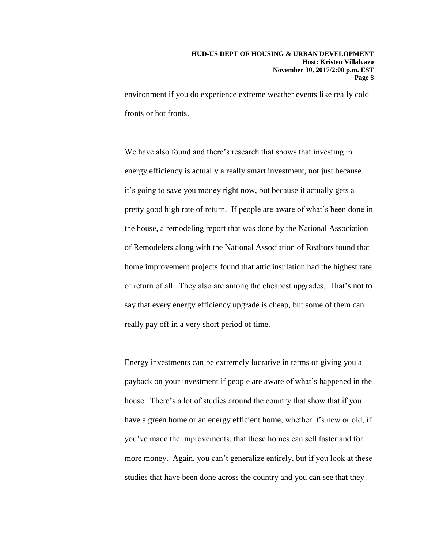environment if you do experience extreme weather events like really cold fronts or hot fronts.

We have also found and there's research that shows that investing in energy efficiency is actually a really smart investment, not just because it's going to save you money right now, but because it actually gets a pretty good high rate of return. If people are aware of what's been done in the house, a remodeling report that was done by the National Association of Remodelers along with the National Association of Realtors found that home improvement projects found that attic insulation had the highest rate of return of all. They also are among the cheapest upgrades. That's not to say that every energy efficiency upgrade is cheap, but some of them can really pay off in a very short period of time.

Energy investments can be extremely lucrative in terms of giving you a payback on your investment if people are aware of what's happened in the house. There's a lot of studies around the country that show that if you have a green home or an energy efficient home, whether it's new or old, if you've made the improvements, that those homes can sell faster and for more money. Again, you can't generalize entirely, but if you look at these studies that have been done across the country and you can see that they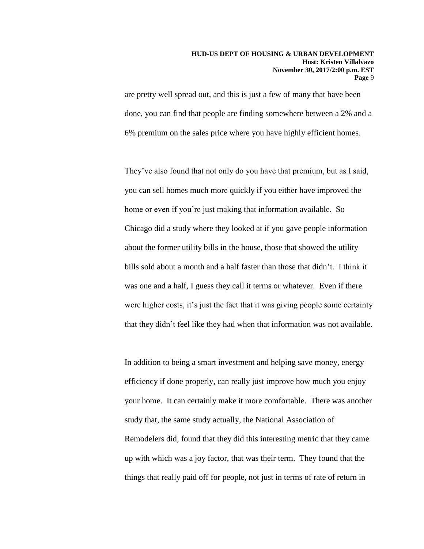#### **HUD-US DEPT OF HOUSING & URBAN DEVELOPMENT Host: Kristen Villalvazo November 30, 2017/2:00 p.m. EST Page** 9

are pretty well spread out, and this is just a few of many that have been done, you can find that people are finding somewhere between a 2% and a 6% premium on the sales price where you have highly efficient homes.

They've also found that not only do you have that premium, but as I said, you can sell homes much more quickly if you either have improved the home or even if you're just making that information available. So Chicago did a study where they looked at if you gave people information about the former utility bills in the house, those that showed the utility bills sold about a month and a half faster than those that didn't. I think it was one and a half, I guess they call it terms or whatever. Even if there were higher costs, it's just the fact that it was giving people some certainty that they didn't feel like they had when that information was not available.

In addition to being a smart investment and helping save money, energy efficiency if done properly, can really just improve how much you enjoy your home. It can certainly make it more comfortable. There was another study that, the same study actually, the National Association of Remodelers did, found that they did this interesting metric that they came up with which was a joy factor, that was their term. They found that the things that really paid off for people, not just in terms of rate of return in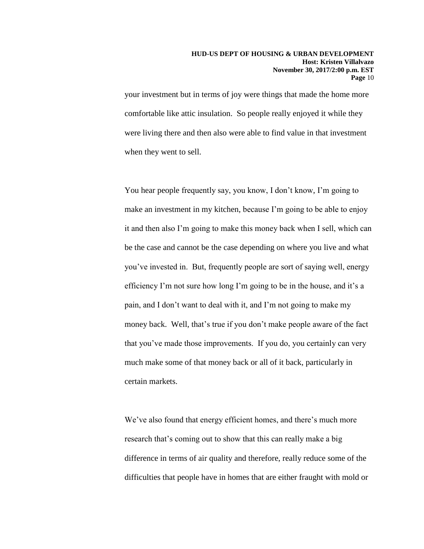your investment but in terms of joy were things that made the home more comfortable like attic insulation. So people really enjoyed it while they were living there and then also were able to find value in that investment when they went to sell.

You hear people frequently say, you know, I don't know, I'm going to make an investment in my kitchen, because I'm going to be able to enjoy it and then also I'm going to make this money back when I sell, which can be the case and cannot be the case depending on where you live and what you've invested in. But, frequently people are sort of saying well, energy efficiency I'm not sure how long I'm going to be in the house, and it's a pain, and I don't want to deal with it, and I'm not going to make my money back. Well, that's true if you don't make people aware of the fact that you've made those improvements. If you do, you certainly can very much make some of that money back or all of it back, particularly in certain markets.

We've also found that energy efficient homes, and there's much more research that's coming out to show that this can really make a big difference in terms of air quality and therefore, really reduce some of the difficulties that people have in homes that are either fraught with mold or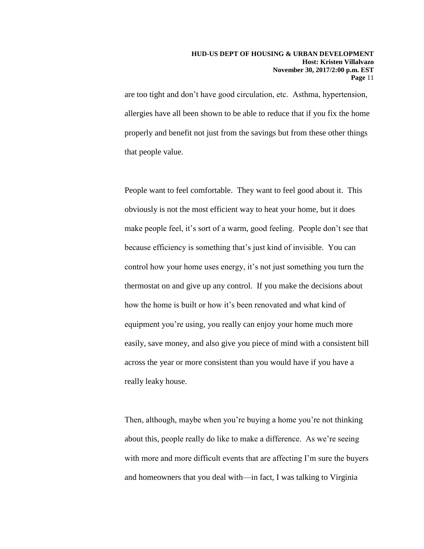are too tight and don't have good circulation, etc. Asthma, hypertension, allergies have all been shown to be able to reduce that if you fix the home properly and benefit not just from the savings but from these other things that people value.

People want to feel comfortable. They want to feel good about it. This obviously is not the most efficient way to heat your home, but it does make people feel, it's sort of a warm, good feeling. People don't see that because efficiency is something that's just kind of invisible. You can control how your home uses energy, it's not just something you turn the thermostat on and give up any control. If you make the decisions about how the home is built or how it's been renovated and what kind of equipment you're using, you really can enjoy your home much more easily, save money, and also give you piece of mind with a consistent bill across the year or more consistent than you would have if you have a really leaky house.

Then, although, maybe when you're buying a home you're not thinking about this, people really do like to make a difference. As we're seeing with more and more difficult events that are affecting I'm sure the buyers and homeowners that you deal with—in fact, I was talking to Virginia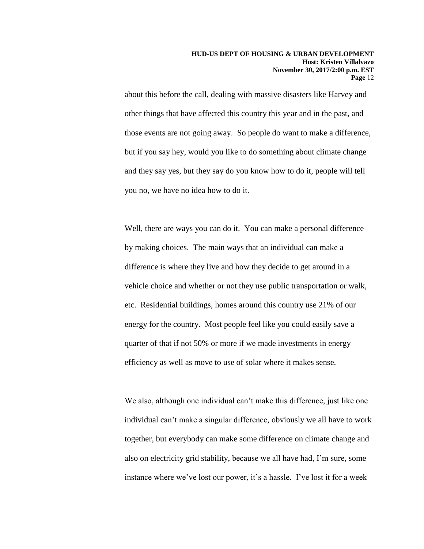about this before the call, dealing with massive disasters like Harvey and other things that have affected this country this year and in the past, and those events are not going away. So people do want to make a difference, but if you say hey, would you like to do something about climate change and they say yes, but they say do you know how to do it, people will tell you no, we have no idea how to do it.

Well, there are ways you can do it. You can make a personal difference by making choices. The main ways that an individual can make a difference is where they live and how they decide to get around in a vehicle choice and whether or not they use public transportation or walk, etc. Residential buildings, homes around this country use 21% of our energy for the country. Most people feel like you could easily save a quarter of that if not 50% or more if we made investments in energy efficiency as well as move to use of solar where it makes sense.

We also, although one individual can't make this difference, just like one individual can't make a singular difference, obviously we all have to work together, but everybody can make some difference on climate change and also on electricity grid stability, because we all have had, I'm sure, some instance where we've lost our power, it's a hassle. I've lost it for a week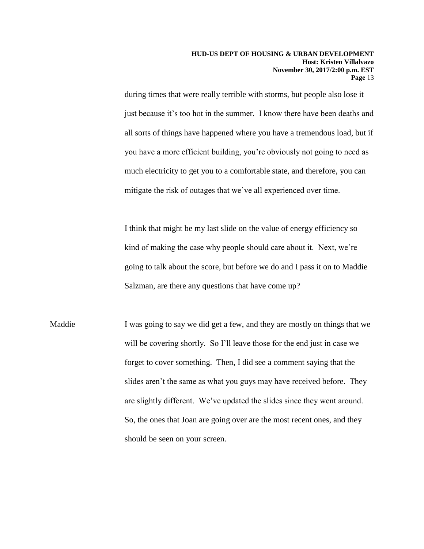during times that were really terrible with storms, but people also lose it just because it's too hot in the summer. I know there have been deaths and all sorts of things have happened where you have a tremendous load, but if you have a more efficient building, you're obviously not going to need as much electricity to get you to a comfortable state, and therefore, you can mitigate the risk of outages that we've all experienced over time.

I think that might be my last slide on the value of energy efficiency so kind of making the case why people should care about it. Next, we're going to talk about the score, but before we do and I pass it on to Maddie Salzman, are there any questions that have come up?

Maddie I was going to say we did get a few, and they are mostly on things that we will be covering shortly. So I'll leave those for the end just in case we forget to cover something. Then, I did see a comment saying that the slides aren't the same as what you guys may have received before. They are slightly different. We've updated the slides since they went around. So, the ones that Joan are going over are the most recent ones, and they should be seen on your screen.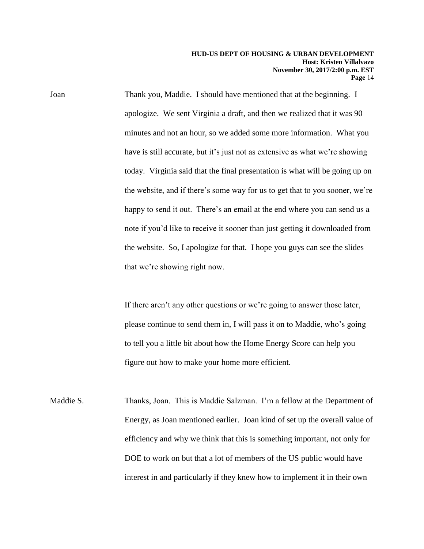Joan Thank you, Maddie. I should have mentioned that at the beginning. I apologize. We sent Virginia a draft, and then we realized that it was 90 minutes and not an hour, so we added some more information. What you have is still accurate, but it's just not as extensive as what we're showing today. Virginia said that the final presentation is what will be going up on the website, and if there's some way for us to get that to you sooner, we're happy to send it out. There's an email at the end where you can send us a note if you'd like to receive it sooner than just getting it downloaded from the website. So, I apologize for that. I hope you guys can see the slides that we're showing right now.

> If there aren't any other questions or we're going to answer those later, please continue to send them in, I will pass it on to Maddie, who's going to tell you a little bit about how the Home Energy Score can help you figure out how to make your home more efficient.

Maddie S. Thanks, Joan. This is Maddie Salzman. I'm a fellow at the Department of Energy, as Joan mentioned earlier. Joan kind of set up the overall value of efficiency and why we think that this is something important, not only for DOE to work on but that a lot of members of the US public would have interest in and particularly if they knew how to implement it in their own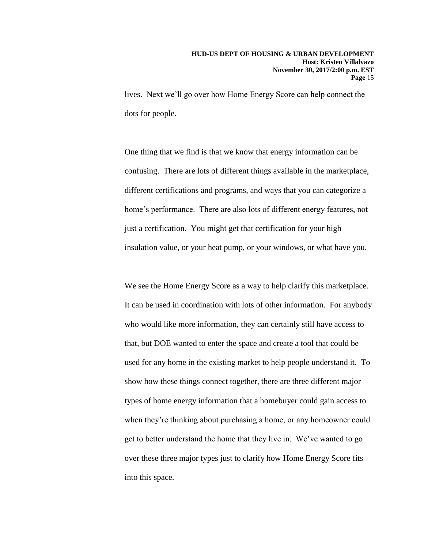lives. Next we'll go over how Home Energy Score can help connect the dots for people.

One thing that we find is that we know that energy information can be confusing. There are lots of different things available in the marketplace, different certifications and programs, and ways that you can categorize a home's performance. There are also lots of different energy features, not just a certification. You might get that certification for your high insulation value, or your heat pump, or your windows, or what have you.

We see the Home Energy Score as a way to help clarify this marketplace. It can be used in coordination with lots of other information. For anybody who would like more information, they can certainly still have access to that, but DOE wanted to enter the space and create a tool that could be used for any home in the existing market to help people understand it. To show how these things connect together, there are three different major types of home energy information that a homebuyer could gain access to when they're thinking about purchasing a home, or any homeowner could get to better understand the home that they live in. We've wanted to go over these three major types just to clarify how Home Energy Score fits into this space.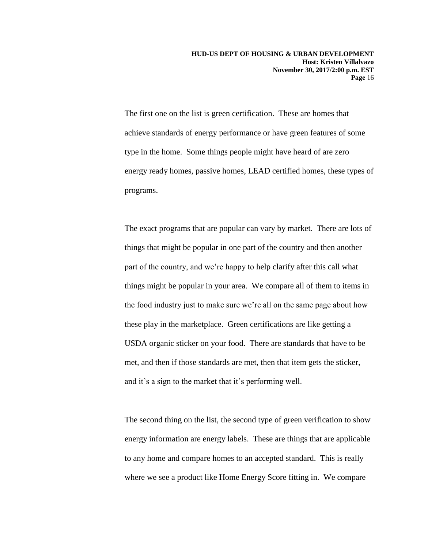The first one on the list is green certification. These are homes that achieve standards of energy performance or have green features of some type in the home. Some things people might have heard of are zero energy ready homes, passive homes, LEAD certified homes, these types of programs.

The exact programs that are popular can vary by market. There are lots of things that might be popular in one part of the country and then another part of the country, and we're happy to help clarify after this call what things might be popular in your area. We compare all of them to items in the food industry just to make sure we're all on the same page about how these play in the marketplace. Green certifications are like getting a USDA organic sticker on your food. There are standards that have to be met, and then if those standards are met, then that item gets the sticker, and it's a sign to the market that it's performing well.

The second thing on the list, the second type of green verification to show energy information are energy labels. These are things that are applicable to any home and compare homes to an accepted standard. This is really where we see a product like Home Energy Score fitting in. We compare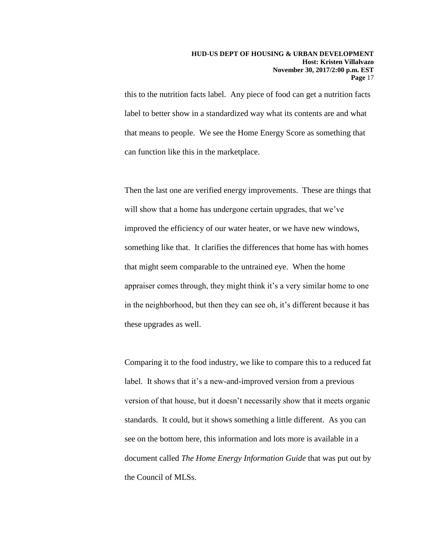this to the nutrition facts label. Any piece of food can get a nutrition facts label to better show in a standardized way what its contents are and what that means to people. We see the Home Energy Score as something that can function like this in the marketplace.

Then the last one are verified energy improvements. These are things that will show that a home has undergone certain upgrades, that we've improved the efficiency of our water heater, or we have new windows, something like that. It clarifies the differences that home has with homes that might seem comparable to the untrained eye. When the home appraiser comes through, they might think it's a very similar home to one in the neighborhood, but then they can see oh, it's different because it has these upgrades as well.

Comparing it to the food industry, we like to compare this to a reduced fat label. It shows that it's a new-and-improved version from a previous version of that house, but it doesn't necessarily show that it meets organic standards. It could, but it shows something a little different. As you can see on the bottom here, this information and lots more is available in a document called *The Home Energy Information Guide* that was put out by the Council of MLSs.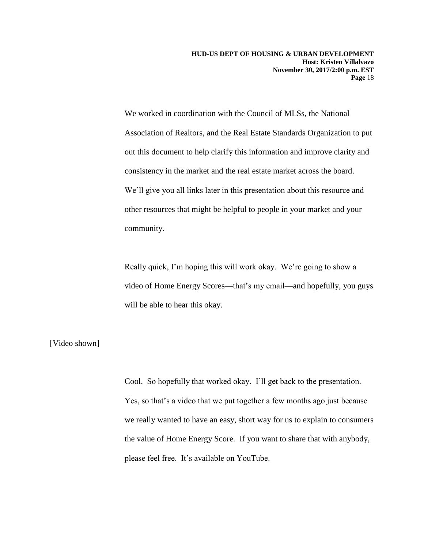We worked in coordination with the Council of MLSs, the National Association of Realtors, and the Real Estate Standards Organization to put out this document to help clarify this information and improve clarity and consistency in the market and the real estate market across the board. We'll give you all links later in this presentation about this resource and other resources that might be helpful to people in your market and your community.

Really quick, I'm hoping this will work okay. We're going to show a video of Home Energy Scores—that's my email—and hopefully, you guys will be able to hear this okay.

[Video shown]

Cool. So hopefully that worked okay. I'll get back to the presentation. Yes, so that's a video that we put together a few months ago just because we really wanted to have an easy, short way for us to explain to consumers the value of Home Energy Score. If you want to share that with anybody, please feel free. It's available on YouTube.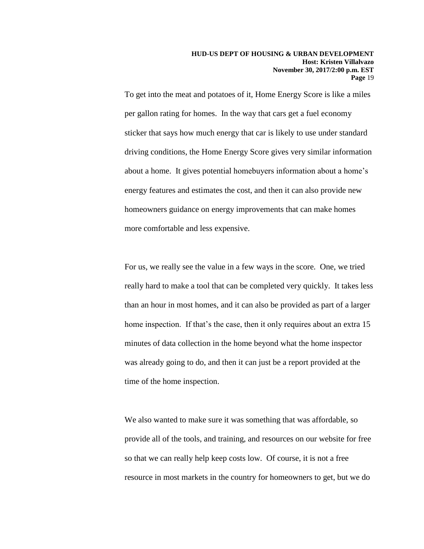To get into the meat and potatoes of it, Home Energy Score is like a miles per gallon rating for homes. In the way that cars get a fuel economy sticker that says how much energy that car is likely to use under standard driving conditions, the Home Energy Score gives very similar information about a home. It gives potential homebuyers information about a home's energy features and estimates the cost, and then it can also provide new homeowners guidance on energy improvements that can make homes more comfortable and less expensive.

For us, we really see the value in a few ways in the score. One, we tried really hard to make a tool that can be completed very quickly. It takes less than an hour in most homes, and it can also be provided as part of a larger home inspection. If that's the case, then it only requires about an extra 15 minutes of data collection in the home beyond what the home inspector was already going to do, and then it can just be a report provided at the time of the home inspection.

We also wanted to make sure it was something that was affordable, so provide all of the tools, and training, and resources on our website for free so that we can really help keep costs low. Of course, it is not a free resource in most markets in the country for homeowners to get, but we do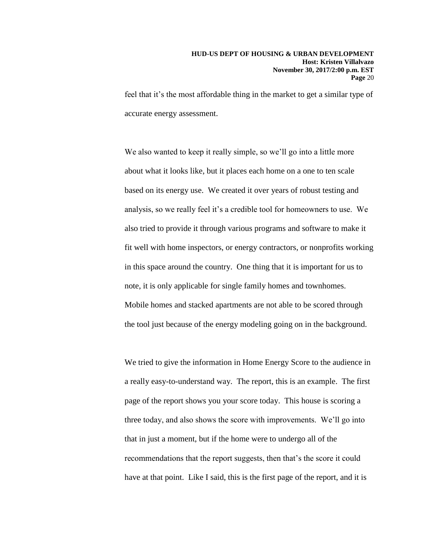feel that it's the most affordable thing in the market to get a similar type of accurate energy assessment.

We also wanted to keep it really simple, so we'll go into a little more about what it looks like, but it places each home on a one to ten scale based on its energy use. We created it over years of robust testing and analysis, so we really feel it's a credible tool for homeowners to use. We also tried to provide it through various programs and software to make it fit well with home inspectors, or energy contractors, or nonprofits working in this space around the country. One thing that it is important for us to note, it is only applicable for single family homes and townhomes. Mobile homes and stacked apartments are not able to be scored through the tool just because of the energy modeling going on in the background.

We tried to give the information in Home Energy Score to the audience in a really easy-to-understand way. The report, this is an example. The first page of the report shows you your score today. This house is scoring a three today, and also shows the score with improvements. We'll go into that in just a moment, but if the home were to undergo all of the recommendations that the report suggests, then that's the score it could have at that point. Like I said, this is the first page of the report, and it is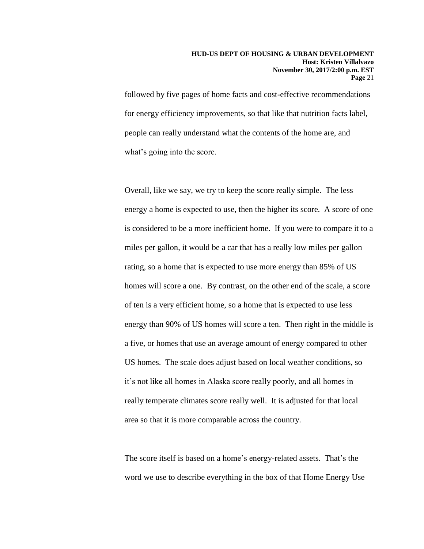followed by five pages of home facts and cost-effective recommendations for energy efficiency improvements, so that like that nutrition facts label, people can really understand what the contents of the home are, and what's going into the score.

Overall, like we say, we try to keep the score really simple. The less energy a home is expected to use, then the higher its score. A score of one is considered to be a more inefficient home. If you were to compare it to a miles per gallon, it would be a car that has a really low miles per gallon rating, so a home that is expected to use more energy than 85% of US homes will score a one. By contrast, on the other end of the scale, a score of ten is a very efficient home, so a home that is expected to use less energy than 90% of US homes will score a ten. Then right in the middle is a five, or homes that use an average amount of energy compared to other US homes. The scale does adjust based on local weather conditions, so it's not like all homes in Alaska score really poorly, and all homes in really temperate climates score really well. It is adjusted for that local area so that it is more comparable across the country.

The score itself is based on a home's energy-related assets. That's the word we use to describe everything in the box of that Home Energy Use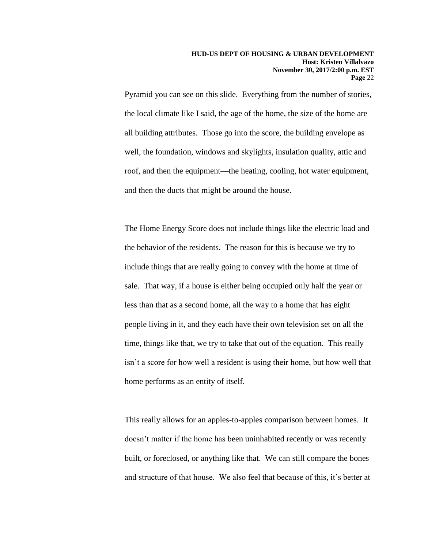Pyramid you can see on this slide. Everything from the number of stories, the local climate like I said, the age of the home, the size of the home are all building attributes. Those go into the score, the building envelope as well, the foundation, windows and skylights, insulation quality, attic and roof, and then the equipment—the heating, cooling, hot water equipment, and then the ducts that might be around the house.

The Home Energy Score does not include things like the electric load and the behavior of the residents. The reason for this is because we try to include things that are really going to convey with the home at time of sale. That way, if a house is either being occupied only half the year or less than that as a second home, all the way to a home that has eight people living in it, and they each have their own television set on all the time, things like that, we try to take that out of the equation. This really isn't a score for how well a resident is using their home, but how well that home performs as an entity of itself.

This really allows for an apples-to-apples comparison between homes. It doesn't matter if the home has been uninhabited recently or was recently built, or foreclosed, or anything like that. We can still compare the bones and structure of that house. We also feel that because of this, it's better at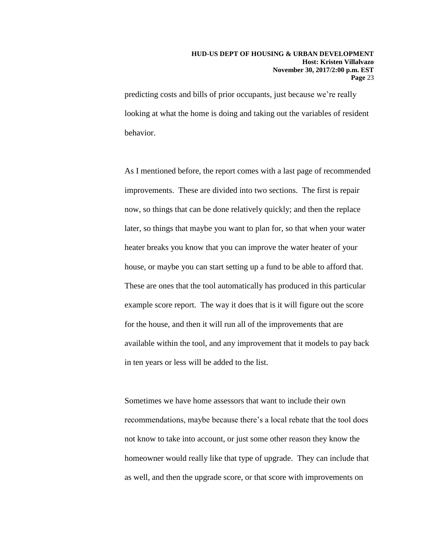#### **HUD-US DEPT OF HOUSING & URBAN DEVELOPMENT Host: Kristen Villalvazo November 30, 2017/2:00 p.m. EST Page** 23

predicting costs and bills of prior occupants, just because we're really looking at what the home is doing and taking out the variables of resident behavior.

As I mentioned before, the report comes with a last page of recommended improvements. These are divided into two sections. The first is repair now, so things that can be done relatively quickly; and then the replace later, so things that maybe you want to plan for, so that when your water heater breaks you know that you can improve the water heater of your house, or maybe you can start setting up a fund to be able to afford that. These are ones that the tool automatically has produced in this particular example score report. The way it does that is it will figure out the score for the house, and then it will run all of the improvements that are available within the tool, and any improvement that it models to pay back in ten years or less will be added to the list.

Sometimes we have home assessors that want to include their own recommendations, maybe because there's a local rebate that the tool does not know to take into account, or just some other reason they know the homeowner would really like that type of upgrade. They can include that as well, and then the upgrade score, or that score with improvements on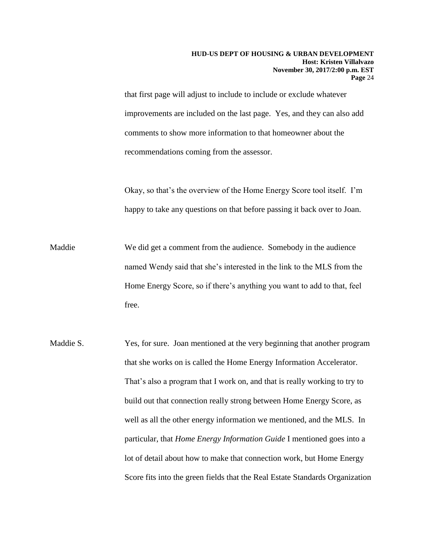that first page will adjust to include to include or exclude whatever improvements are included on the last page. Yes, and they can also add comments to show more information to that homeowner about the recommendations coming from the assessor.

Okay, so that's the overview of the Home Energy Score tool itself. I'm happy to take any questions on that before passing it back over to Joan.

- Maddie We did get a comment from the audience. Somebody in the audience named Wendy said that she's interested in the link to the MLS from the Home Energy Score, so if there's anything you want to add to that, feel free.
- Maddie S. Yes, for sure. Joan mentioned at the very beginning that another program that she works on is called the Home Energy Information Accelerator. That's also a program that I work on, and that is really working to try to build out that connection really strong between Home Energy Score, as well as all the other energy information we mentioned, and the MLS. In particular, that *Home Energy Information Guide* I mentioned goes into a lot of detail about how to make that connection work, but Home Energy Score fits into the green fields that the Real Estate Standards Organization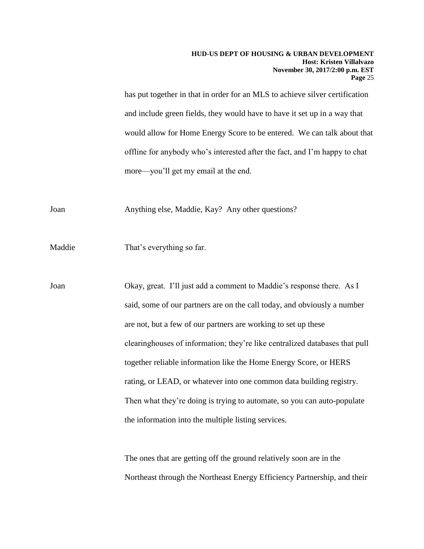#### **HUD-US DEPT OF HOUSING & URBAN DEVELOPMENT Host: Kristen Villalvazo November 30, 2017/2:00 p.m. EST Page** 25

has put together in that in order for an MLS to achieve silver certification and include green fields, they would have to have it set up in a way that would allow for Home Energy Score to be entered. We can talk about that offline for anybody who's interested after the fact, and I'm happy to chat more—you'll get my email at the end.

Joan Anything else, Maddie, Kay? Any other questions?

Maddie That's everything so far.

Joan Okay, great. I'll just add a comment to Maddie's response there. As I said, some of our partners are on the call today, and obviously a number are not, but a few of our partners are working to set up these clearinghouses of information; they're like centralized databases that pull together reliable information like the Home Energy Score, or HERS rating, or LEAD, or whatever into one common data building registry. Then what they're doing is trying to automate, so you can auto-populate the information into the multiple listing services.

> The ones that are getting off the ground relatively soon are in the Northeast through the Northeast Energy Efficiency Partnership, and their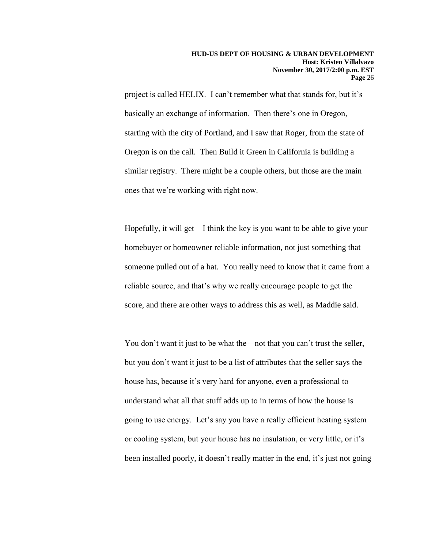project is called HELIX. I can't remember what that stands for, but it's basically an exchange of information. Then there's one in Oregon, starting with the city of Portland, and I saw that Roger, from the state of Oregon is on the call. Then Build it Green in California is building a similar registry. There might be a couple others, but those are the main ones that we're working with right now.

Hopefully, it will get—I think the key is you want to be able to give your homebuyer or homeowner reliable information, not just something that someone pulled out of a hat. You really need to know that it came from a reliable source, and that's why we really encourage people to get the score, and there are other ways to address this as well, as Maddie said.

You don't want it just to be what the—not that you can't trust the seller, but you don't want it just to be a list of attributes that the seller says the house has, because it's very hard for anyone, even a professional to understand what all that stuff adds up to in terms of how the house is going to use energy. Let's say you have a really efficient heating system or cooling system, but your house has no insulation, or very little, or it's been installed poorly, it doesn't really matter in the end, it's just not going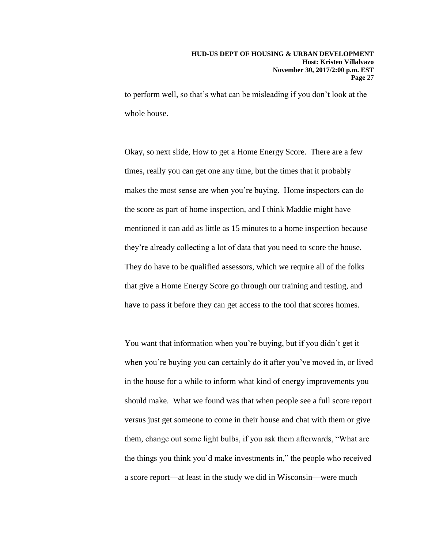to perform well, so that's what can be misleading if you don't look at the whole house.

Okay, so next slide, How to get a Home Energy Score. There are a few times, really you can get one any time, but the times that it probably makes the most sense are when you're buying. Home inspectors can do the score as part of home inspection, and I think Maddie might have mentioned it can add as little as 15 minutes to a home inspection because they're already collecting a lot of data that you need to score the house. They do have to be qualified assessors, which we require all of the folks that give a Home Energy Score go through our training and testing, and have to pass it before they can get access to the tool that scores homes.

You want that information when you're buying, but if you didn't get it when you're buying you can certainly do it after you've moved in, or lived in the house for a while to inform what kind of energy improvements you should make. What we found was that when people see a full score report versus just get someone to come in their house and chat with them or give them, change out some light bulbs, if you ask them afterwards, "What are the things you think you'd make investments in," the people who received a score report—at least in the study we did in Wisconsin—were much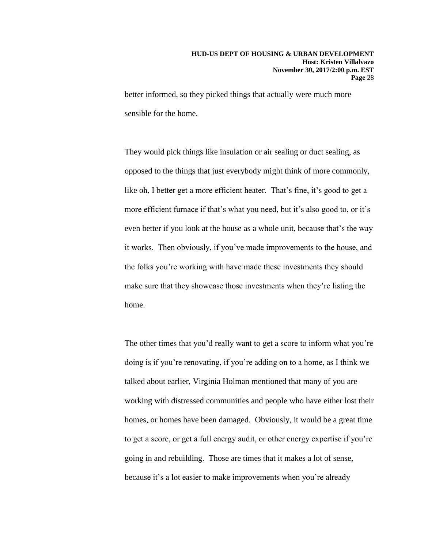better informed, so they picked things that actually were much more sensible for the home.

They would pick things like insulation or air sealing or duct sealing, as opposed to the things that just everybody might think of more commonly, like oh, I better get a more efficient heater. That's fine, it's good to get a more efficient furnace if that's what you need, but it's also good to, or it's even better if you look at the house as a whole unit, because that's the way it works. Then obviously, if you've made improvements to the house, and the folks you're working with have made these investments they should make sure that they showcase those investments when they're listing the home.

The other times that you'd really want to get a score to inform what you're doing is if you're renovating, if you're adding on to a home, as I think we talked about earlier, Virginia Holman mentioned that many of you are working with distressed communities and people who have either lost their homes, or homes have been damaged. Obviously, it would be a great time to get a score, or get a full energy audit, or other energy expertise if you're going in and rebuilding. Those are times that it makes a lot of sense, because it's a lot easier to make improvements when you're already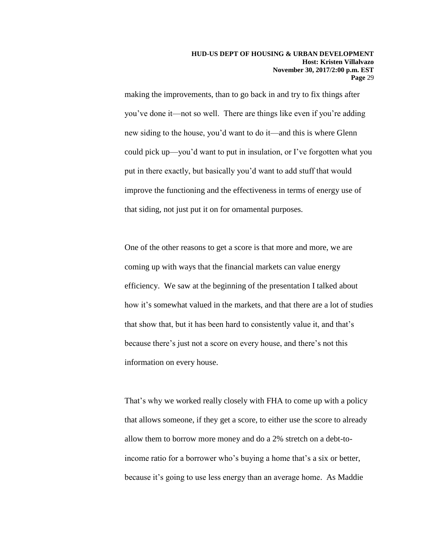making the improvements, than to go back in and try to fix things after you've done it—not so well. There are things like even if you're adding new siding to the house, you'd want to do it—and this is where Glenn could pick up—you'd want to put in insulation, or I've forgotten what you put in there exactly, but basically you'd want to add stuff that would improve the functioning and the effectiveness in terms of energy use of that siding, not just put it on for ornamental purposes.

One of the other reasons to get a score is that more and more, we are coming up with ways that the financial markets can value energy efficiency. We saw at the beginning of the presentation I talked about how it's somewhat valued in the markets, and that there are a lot of studies that show that, but it has been hard to consistently value it, and that's because there's just not a score on every house, and there's not this information on every house.

That's why we worked really closely with FHA to come up with a policy that allows someone, if they get a score, to either use the score to already allow them to borrow more money and do a 2% stretch on a debt-toincome ratio for a borrower who's buying a home that's a six or better, because it's going to use less energy than an average home. As Maddie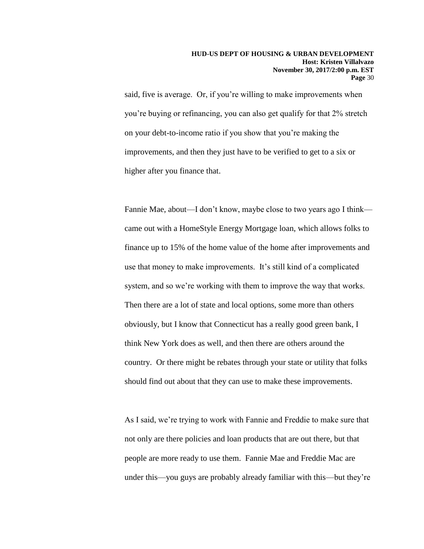said, five is average. Or, if you're willing to make improvements when you're buying or refinancing, you can also get qualify for that 2% stretch on your debt-to-income ratio if you show that you're making the improvements, and then they just have to be verified to get to a six or higher after you finance that.

Fannie Mae, about—I don't know, maybe close to two years ago I think came out with a HomeStyle Energy Mortgage loan, which allows folks to finance up to 15% of the home value of the home after improvements and use that money to make improvements. It's still kind of a complicated system, and so we're working with them to improve the way that works. Then there are a lot of state and local options, some more than others obviously, but I know that Connecticut has a really good green bank, I think New York does as well, and then there are others around the country. Or there might be rebates through your state or utility that folks should find out about that they can use to make these improvements.

As I said, we're trying to work with Fannie and Freddie to make sure that not only are there policies and loan products that are out there, but that people are more ready to use them. Fannie Mae and Freddie Mac are under this—you guys are probably already familiar with this—but they're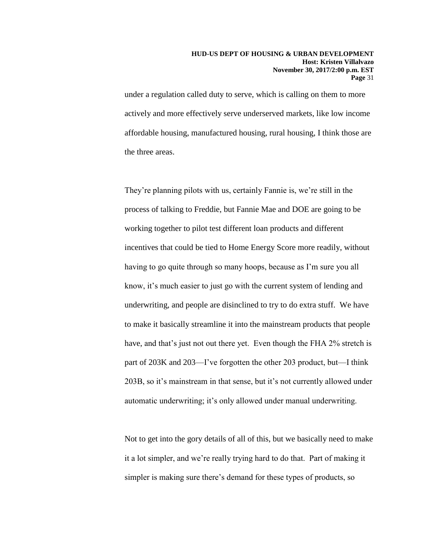#### **HUD-US DEPT OF HOUSING & URBAN DEVELOPMENT Host: Kristen Villalvazo November 30, 2017/2:00 p.m. EST Page** 31

under a regulation called duty to serve, which is calling on them to more actively and more effectively serve underserved markets, like low income affordable housing, manufactured housing, rural housing, I think those are the three areas.

They're planning pilots with us, certainly Fannie is, we're still in the process of talking to Freddie, but Fannie Mae and DOE are going to be working together to pilot test different loan products and different incentives that could be tied to Home Energy Score more readily, without having to go quite through so many hoops, because as I'm sure you all know, it's much easier to just go with the current system of lending and underwriting, and people are disinclined to try to do extra stuff. We have to make it basically streamline it into the mainstream products that people have, and that's just not out there yet. Even though the FHA 2% stretch is part of 203K and 203—I've forgotten the other 203 product, but—I think 203B, so it's mainstream in that sense, but it's not currently allowed under automatic underwriting; it's only allowed under manual underwriting.

Not to get into the gory details of all of this, but we basically need to make it a lot simpler, and we're really trying hard to do that. Part of making it simpler is making sure there's demand for these types of products, so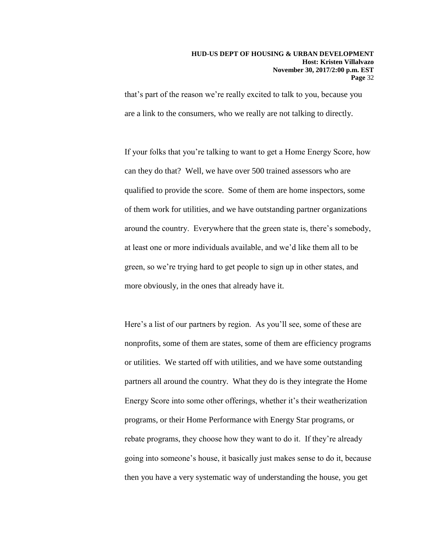#### **HUD-US DEPT OF HOUSING & URBAN DEVELOPMENT Host: Kristen Villalvazo November 30, 2017/2:00 p.m. EST Page** 32

that's part of the reason we're really excited to talk to you, because you are a link to the consumers, who we really are not talking to directly.

If your folks that you're talking to want to get a Home Energy Score, how can they do that? Well, we have over 500 trained assessors who are qualified to provide the score. Some of them are home inspectors, some of them work for utilities, and we have outstanding partner organizations around the country. Everywhere that the green state is, there's somebody, at least one or more individuals available, and we'd like them all to be green, so we're trying hard to get people to sign up in other states, and more obviously, in the ones that already have it.

Here's a list of our partners by region. As you'll see, some of these are nonprofits, some of them are states, some of them are efficiency programs or utilities. We started off with utilities, and we have some outstanding partners all around the country. What they do is they integrate the Home Energy Score into some other offerings, whether it's their weatherization programs, or their Home Performance with Energy Star programs, or rebate programs, they choose how they want to do it. If they're already going into someone's house, it basically just makes sense to do it, because then you have a very systematic way of understanding the house, you get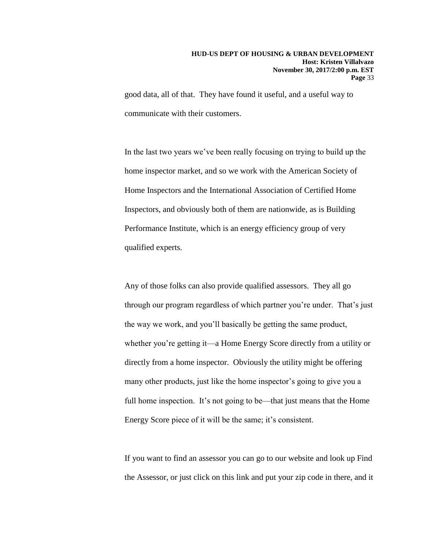good data, all of that. They have found it useful, and a useful way to communicate with their customers.

In the last two years we've been really focusing on trying to build up the home inspector market, and so we work with the American Society of Home Inspectors and the International Association of Certified Home Inspectors, and obviously both of them are nationwide, as is Building Performance Institute, which is an energy efficiency group of very qualified experts.

Any of those folks can also provide qualified assessors. They all go through our program regardless of which partner you're under. That's just the way we work, and you'll basically be getting the same product, whether you're getting it—a Home Energy Score directly from a utility or directly from a home inspector. Obviously the utility might be offering many other products, just like the home inspector's going to give you a full home inspection. It's not going to be—that just means that the Home Energy Score piece of it will be the same; it's consistent.

If you want to find an assessor you can go to our website and look up Find the Assessor, or just click on this link and put your zip code in there, and it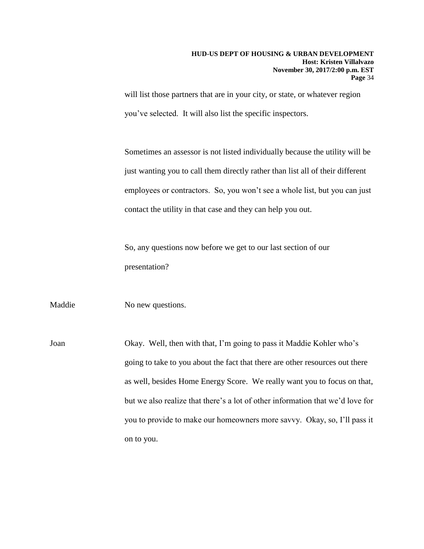will list those partners that are in your city, or state, or whatever region you've selected. It will also list the specific inspectors.

Sometimes an assessor is not listed individually because the utility will be just wanting you to call them directly rather than list all of their different employees or contractors. So, you won't see a whole list, but you can just contact the utility in that case and they can help you out.

So, any questions now before we get to our last section of our presentation?

Maddie No new questions.

Joan Okay. Well, then with that, I'm going to pass it Maddie Kohler who's going to take to you about the fact that there are other resources out there as well, besides Home Energy Score. We really want you to focus on that, but we also realize that there's a lot of other information that we'd love for you to provide to make our homeowners more savvy. Okay, so, I'll pass it on to you.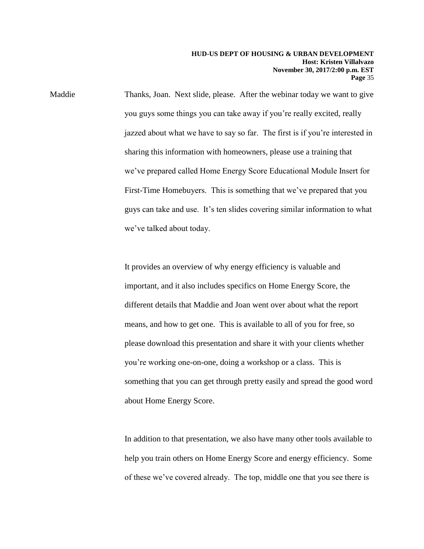Maddie Thanks, Joan. Next slide, please. After the webinar today we want to give you guys some things you can take away if you're really excited, really jazzed about what we have to say so far. The first is if you're interested in sharing this information with homeowners, please use a training that we've prepared called Home Energy Score Educational Module Insert for First-Time Homebuyers. This is something that we've prepared that you guys can take and use. It's ten slides covering similar information to what we've talked about today.

> It provides an overview of why energy efficiency is valuable and important, and it also includes specifics on Home Energy Score, the different details that Maddie and Joan went over about what the report means, and how to get one. This is available to all of you for free, so please download this presentation and share it with your clients whether you're working one-on-one, doing a workshop or a class. This is something that you can get through pretty easily and spread the good word about Home Energy Score.

> In addition to that presentation, we also have many other tools available to help you train others on Home Energy Score and energy efficiency. Some of these we've covered already. The top, middle one that you see there is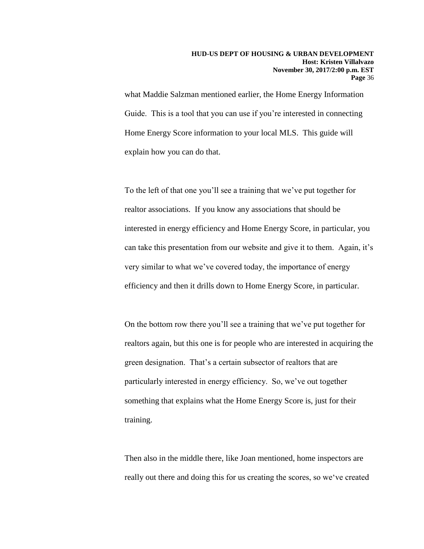what Maddie Salzman mentioned earlier, the Home Energy Information Guide. This is a tool that you can use if you're interested in connecting Home Energy Score information to your local MLS. This guide will explain how you can do that.

To the left of that one you'll see a training that we've put together for realtor associations. If you know any associations that should be interested in energy efficiency and Home Energy Score, in particular, you can take this presentation from our website and give it to them. Again, it's very similar to what we've covered today, the importance of energy efficiency and then it drills down to Home Energy Score, in particular.

On the bottom row there you'll see a training that we've put together for realtors again, but this one is for people who are interested in acquiring the green designation. That's a certain subsector of realtors that are particularly interested in energy efficiency. So, we've out together something that explains what the Home Energy Score is, just for their training.

Then also in the middle there, like Joan mentioned, home inspectors are really out there and doing this for us creating the scores, so we've created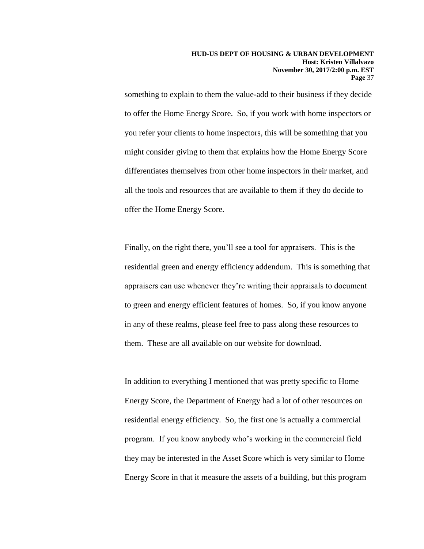something to explain to them the value-add to their business if they decide to offer the Home Energy Score. So, if you work with home inspectors or you refer your clients to home inspectors, this will be something that you might consider giving to them that explains how the Home Energy Score differentiates themselves from other home inspectors in their market, and all the tools and resources that are available to them if they do decide to offer the Home Energy Score.

Finally, on the right there, you'll see a tool for appraisers. This is the residential green and energy efficiency addendum. This is something that appraisers can use whenever they're writing their appraisals to document to green and energy efficient features of homes. So, if you know anyone in any of these realms, please feel free to pass along these resources to them. These are all available on our website for download.

In addition to everything I mentioned that was pretty specific to Home Energy Score, the Department of Energy had a lot of other resources on residential energy efficiency. So, the first one is actually a commercial program. If you know anybody who's working in the commercial field they may be interested in the Asset Score which is very similar to Home Energy Score in that it measure the assets of a building, but this program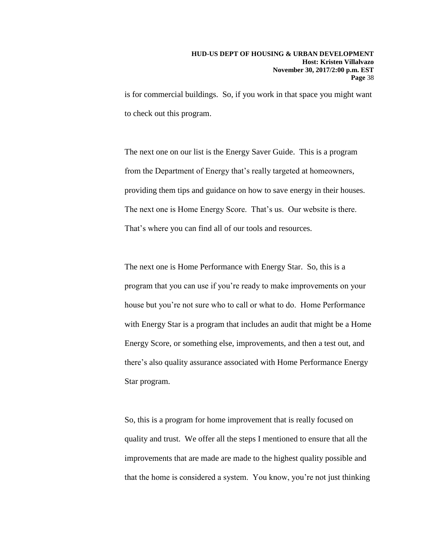is for commercial buildings. So, if you work in that space you might want to check out this program.

The next one on our list is the Energy Saver Guide. This is a program from the Department of Energy that's really targeted at homeowners, providing them tips and guidance on how to save energy in their houses. The next one is Home Energy Score. That's us. Our website is there. That's where you can find all of our tools and resources.

The next one is Home Performance with Energy Star. So, this is a program that you can use if you're ready to make improvements on your house but you're not sure who to call or what to do. Home Performance with Energy Star is a program that includes an audit that might be a Home Energy Score, or something else, improvements, and then a test out, and there's also quality assurance associated with Home Performance Energy Star program.

So, this is a program for home improvement that is really focused on quality and trust. We offer all the steps I mentioned to ensure that all the improvements that are made are made to the highest quality possible and that the home is considered a system. You know, you're not just thinking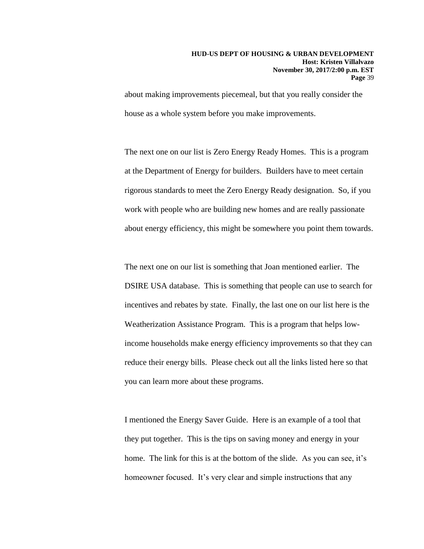about making improvements piecemeal, but that you really consider the house as a whole system before you make improvements.

The next one on our list is Zero Energy Ready Homes. This is a program at the Department of Energy for builders. Builders have to meet certain rigorous standards to meet the Zero Energy Ready designation. So, if you work with people who are building new homes and are really passionate about energy efficiency, this might be somewhere you point them towards.

The next one on our list is something that Joan mentioned earlier. The DSIRE USA database. This is something that people can use to search for incentives and rebates by state. Finally, the last one on our list here is the Weatherization Assistance Program. This is a program that helps lowincome households make energy efficiency improvements so that they can reduce their energy bills. Please check out all the links listed here so that you can learn more about these programs.

I mentioned the Energy Saver Guide. Here is an example of a tool that they put together. This is the tips on saving money and energy in your home. The link for this is at the bottom of the slide. As you can see, it's homeowner focused. It's very clear and simple instructions that any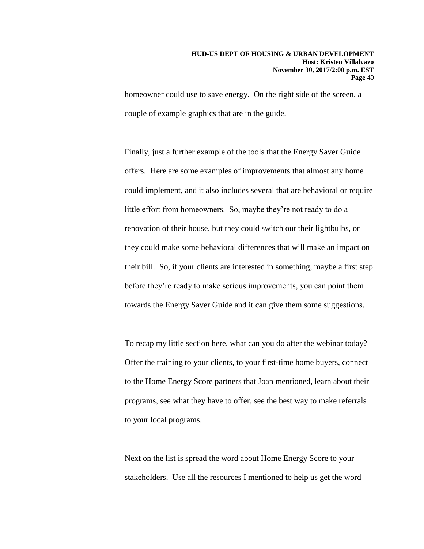homeowner could use to save energy. On the right side of the screen, a couple of example graphics that are in the guide.

Finally, just a further example of the tools that the Energy Saver Guide offers. Here are some examples of improvements that almost any home could implement, and it also includes several that are behavioral or require little effort from homeowners. So, maybe they're not ready to do a renovation of their house, but they could switch out their lightbulbs, or they could make some behavioral differences that will make an impact on their bill. So, if your clients are interested in something, maybe a first step before they're ready to make serious improvements, you can point them towards the Energy Saver Guide and it can give them some suggestions.

To recap my little section here, what can you do after the webinar today? Offer the training to your clients, to your first-time home buyers, connect to the Home Energy Score partners that Joan mentioned, learn about their programs, see what they have to offer, see the best way to make referrals to your local programs.

Next on the list is spread the word about Home Energy Score to your stakeholders. Use all the resources I mentioned to help us get the word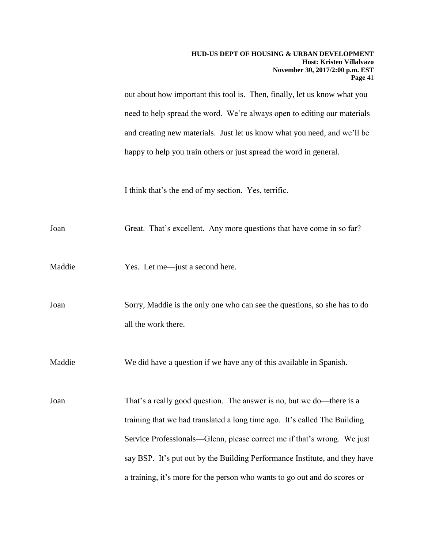out about how important this tool is. Then, finally, let us know what you need to help spread the word. We're always open to editing our materials and creating new materials. Just let us know what you need, and we'll be happy to help you train others or just spread the word in general.

I think that's the end of my section. Yes, terrific.

Joan Great. That's excellent. Any more questions that have come in so far?

Maddie Yes. Let me—just a second here.

Joan Sorry, Maddie is the only one who can see the questions, so she has to do all the work there.

Maddie We did have a question if we have any of this available in Spanish.

Joan That's a really good question. The answer is no, but we do—there is a training that we had translated a long time ago. It's called The Building Service Professionals—Glenn, please correct me if that's wrong. We just say BSP. It's put out by the Building Performance Institute, and they have a training, it's more for the person who wants to go out and do scores or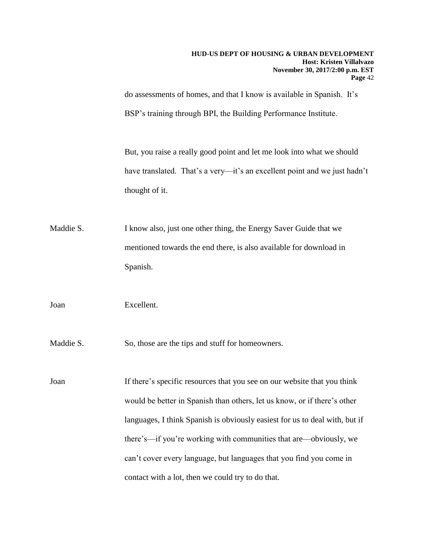do assessments of homes, and that I know is available in Spanish. It's BSP's training through BPI, the Building Performance Institute.

But, you raise a really good point and let me look into what we should have translated. That's a very—it's an excellent point and we just hadn't thought of it.

Maddie S. I know also, just one other thing, the Energy Saver Guide that we mentioned towards the end there, is also available for download in Spanish.

Joan Excellent.

Maddie S. So, those are the tips and stuff for homeowners.

Joan If there's specific resources that you see on our website that you think would be better in Spanish than others, let us know, or if there's other languages, I think Spanish is obviously easiest for us to deal with, but if there's—if you're working with communities that are—obviously, we can't cover every language, but languages that you find you come in contact with a lot, then we could try to do that.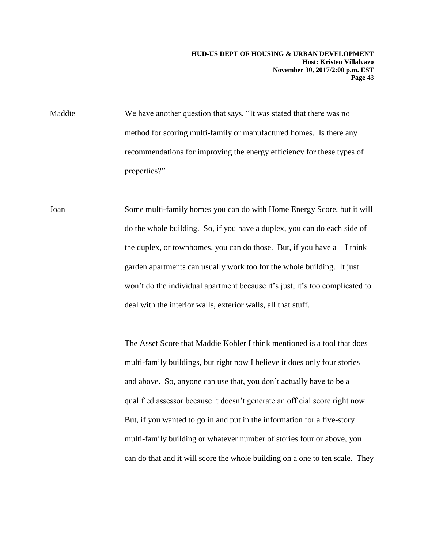Maddie We have another question that says, "It was stated that there was no method for scoring multi-family or manufactured homes. Is there any recommendations for improving the energy efficiency for these types of properties?"

Joan Some multi-family homes you can do with Home Energy Score, but it will do the whole building. So, if you have a duplex, you can do each side of the duplex, or townhomes, you can do those. But, if you have a—I think garden apartments can usually work too for the whole building. It just won't do the individual apartment because it's just, it's too complicated to deal with the interior walls, exterior walls, all that stuff.

> The Asset Score that Maddie Kohler I think mentioned is a tool that does multi-family buildings, but right now I believe it does only four stories and above. So, anyone can use that, you don't actually have to be a qualified assessor because it doesn't generate an official score right now. But, if you wanted to go in and put in the information for a five-story multi-family building or whatever number of stories four or above, you can do that and it will score the whole building on a one to ten scale. They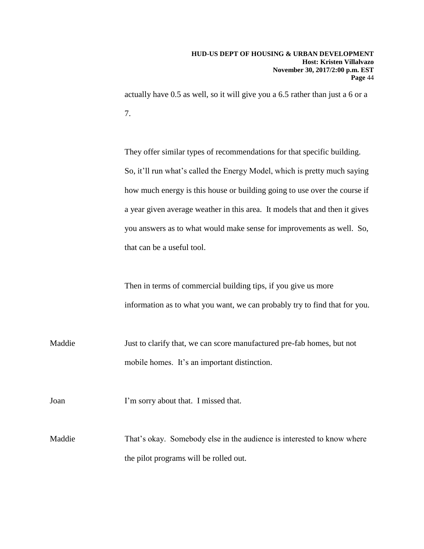actually have 0.5 as well, so it will give you a 6.5 rather than just a 6 or a 7.

They offer similar types of recommendations for that specific building. So, it'll run what's called the Energy Model, which is pretty much saying how much energy is this house or building going to use over the course if a year given average weather in this area. It models that and then it gives you answers as to what would make sense for improvements as well. So, that can be a useful tool.

Then in terms of commercial building tips, if you give us more information as to what you want, we can probably try to find that for you.

Maddie Just to clarify that, we can score manufactured pre-fab homes, but not mobile homes. It's an important distinction.

Joan I'm sorry about that. I missed that.

Maddie That's okay. Somebody else in the audience is interested to know where the pilot programs will be rolled out.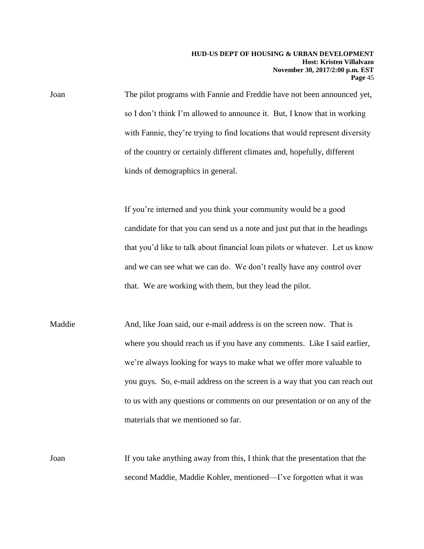Joan The pilot programs with Fannie and Freddie have not been announced yet, so I don't think I'm allowed to announce it. But, I know that in working with Fannie, they're trying to find locations that would represent diversity of the country or certainly different climates and, hopefully, different kinds of demographics in general.

> If you're interned and you think your community would be a good candidate for that you can send us a note and just put that in the headings that you'd like to talk about financial loan pilots or whatever. Let us know and we can see what we can do. We don't really have any control over that. We are working with them, but they lead the pilot.

- Maddie And, like Joan said, our e-mail address is on the screen now. That is where you should reach us if you have any comments. Like I said earlier, we're always looking for ways to make what we offer more valuable to you guys. So, e-mail address on the screen is a way that you can reach out to us with any questions or comments on our presentation or on any of the materials that we mentioned so far.
- Joan If you take anything away from this, I think that the presentation that the second Maddie, Maddie Kohler, mentioned—I've forgotten what it was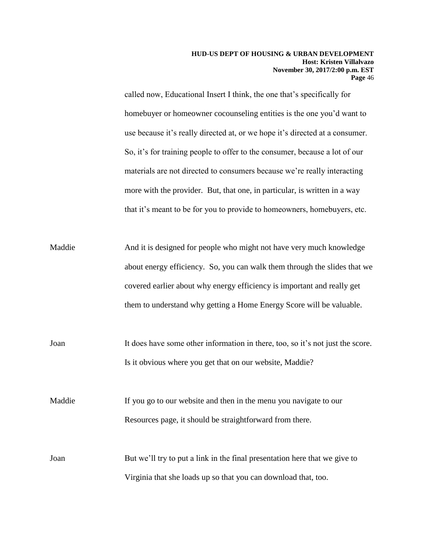called now, Educational Insert I think, the one that's specifically for homebuyer or homeowner cocounseling entities is the one you'd want to use because it's really directed at, or we hope it's directed at a consumer. So, it's for training people to offer to the consumer, because a lot of our materials are not directed to consumers because we're really interacting more with the provider. But, that one, in particular, is written in a way that it's meant to be for you to provide to homeowners, homebuyers, etc.

- Maddie And it is designed for people who might not have very much knowledge about energy efficiency. So, you can walk them through the slides that we covered earlier about why energy efficiency is important and really get them to understand why getting a Home Energy Score will be valuable.
- Joan It does have some other information in there, too, so it's not just the score. Is it obvious where you get that on our website, Maddie?

Maddie If you go to our website and then in the menu you navigate to our Resources page, it should be straightforward from there.

Joan But we'll try to put a link in the final presentation here that we give to Virginia that she loads up so that you can download that, too.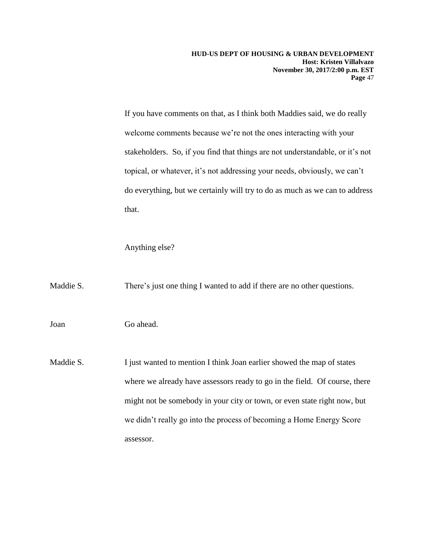If you have comments on that, as I think both Maddies said, we do really welcome comments because we're not the ones interacting with your stakeholders. So, if you find that things are not understandable, or it's not topical, or whatever, it's not addressing your needs, obviously, we can't do everything, but we certainly will try to do as much as we can to address that.

Anything else?

Maddie S. There's just one thing I wanted to add if there are no other questions.

Joan Go ahead.

Maddie S. I just wanted to mention I think Joan earlier showed the map of states where we already have assessors ready to go in the field. Of course, there might not be somebody in your city or town, or even state right now, but we didn't really go into the process of becoming a Home Energy Score assessor.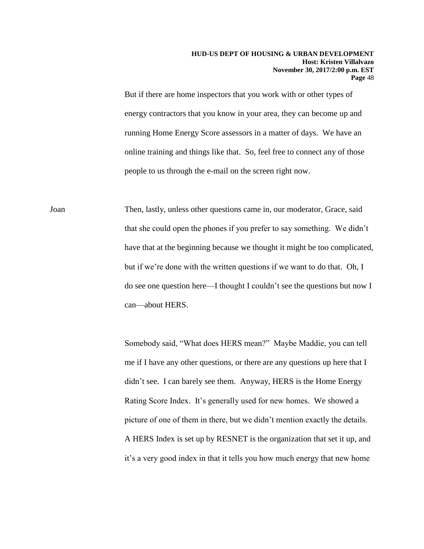But if there are home inspectors that you work with or other types of energy contractors that you know in your area, they can become up and running Home Energy Score assessors in a matter of days. We have an online training and things like that. So, feel free to connect any of those people to us through the e-mail on the screen right now.

Joan Then, lastly, unless other questions came in, our moderator, Grace, said that she could open the phones if you prefer to say something. We didn't have that at the beginning because we thought it might be too complicated, but if we're done with the written questions if we want to do that. Oh, I do see one question here—I thought I couldn't see the questions but now I can—about HERS.

> Somebody said, "What does HERS mean?" Maybe Maddie, you can tell me if I have any other questions, or there are any questions up here that I didn't see. I can barely see them. Anyway, HERS is the Home Energy Rating Score Index. It's generally used for new homes. We showed a picture of one of them in there, but we didn't mention exactly the details. A HERS Index is set up by RESNET is the organization that set it up, and it's a very good index in that it tells you how much energy that new home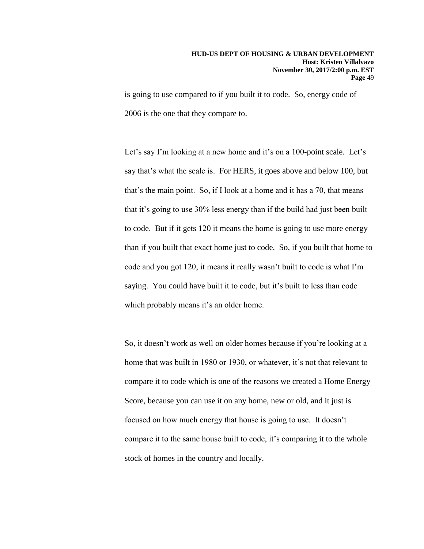is going to use compared to if you built it to code. So, energy code of 2006 is the one that they compare to.

Let's say I'm looking at a new home and it's on a 100-point scale. Let's say that's what the scale is. For HERS, it goes above and below 100, but that's the main point. So, if I look at a home and it has a 70, that means that it's going to use 30% less energy than if the build had just been built to code. But if it gets 120 it means the home is going to use more energy than if you built that exact home just to code. So, if you built that home to code and you got 120, it means it really wasn't built to code is what I'm saying. You could have built it to code, but it's built to less than code which probably means it's an older home.

So, it doesn't work as well on older homes because if you're looking at a home that was built in 1980 or 1930, or whatever, it's not that relevant to compare it to code which is one of the reasons we created a Home Energy Score, because you can use it on any home, new or old, and it just is focused on how much energy that house is going to use. It doesn't compare it to the same house built to code, it's comparing it to the whole stock of homes in the country and locally.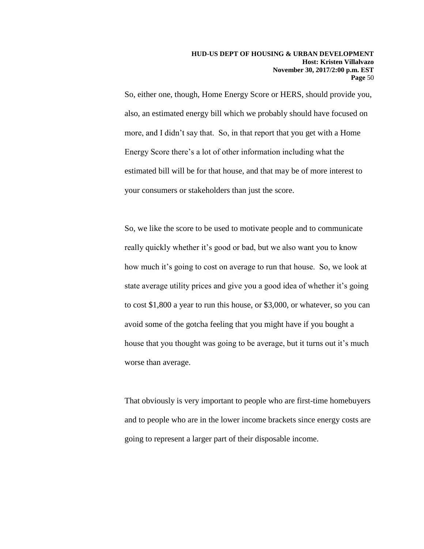So, either one, though, Home Energy Score or HERS, should provide you, also, an estimated energy bill which we probably should have focused on more, and I didn't say that. So, in that report that you get with a Home Energy Score there's a lot of other information including what the estimated bill will be for that house, and that may be of more interest to your consumers or stakeholders than just the score.

So, we like the score to be used to motivate people and to communicate really quickly whether it's good or bad, but we also want you to know how much it's going to cost on average to run that house. So, we look at state average utility prices and give you a good idea of whether it's going to cost \$1,800 a year to run this house, or \$3,000, or whatever, so you can avoid some of the gotcha feeling that you might have if you bought a house that you thought was going to be average, but it turns out it's much worse than average.

That obviously is very important to people who are first-time homebuyers and to people who are in the lower income brackets since energy costs are going to represent a larger part of their disposable income.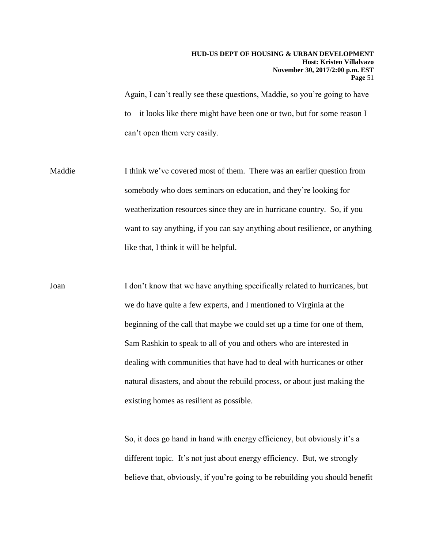#### **HUD-US DEPT OF HOUSING & URBAN DEVELOPMENT Host: Kristen Villalvazo November 30, 2017/2:00 p.m. EST Page** 51

Again, I can't really see these questions, Maddie, so you're going to have to—it looks like there might have been one or two, but for some reason I can't open them very easily.

Maddie I think we've covered most of them. There was an earlier question from somebody who does seminars on education, and they're looking for weatherization resources since they are in hurricane country. So, if you want to say anything, if you can say anything about resilience, or anything like that, I think it will be helpful.

Joan I don't know that we have anything specifically related to hurricanes, but we do have quite a few experts, and I mentioned to Virginia at the beginning of the call that maybe we could set up a time for one of them, Sam Rashkin to speak to all of you and others who are interested in dealing with communities that have had to deal with hurricanes or other natural disasters, and about the rebuild process, or about just making the existing homes as resilient as possible.

> So, it does go hand in hand with energy efficiency, but obviously it's a different topic. It's not just about energy efficiency. But, we strongly believe that, obviously, if you're going to be rebuilding you should benefit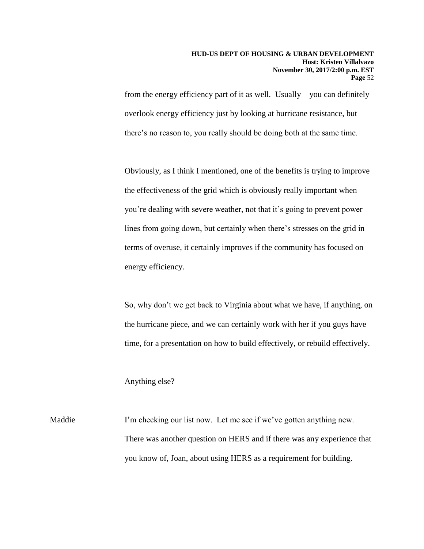from the energy efficiency part of it as well. Usually—you can definitely overlook energy efficiency just by looking at hurricane resistance, but there's no reason to, you really should be doing both at the same time.

Obviously, as I think I mentioned, one of the benefits is trying to improve the effectiveness of the grid which is obviously really important when you're dealing with severe weather, not that it's going to prevent power lines from going down, but certainly when there's stresses on the grid in terms of overuse, it certainly improves if the community has focused on energy efficiency.

So, why don't we get back to Virginia about what we have, if anything, on the hurricane piece, and we can certainly work with her if you guys have time, for a presentation on how to build effectively, or rebuild effectively.

## Anything else?

Maddie I'm checking our list now. Let me see if we've gotten anything new. There was another question on HERS and if there was any experience that you know of, Joan, about using HERS as a requirement for building.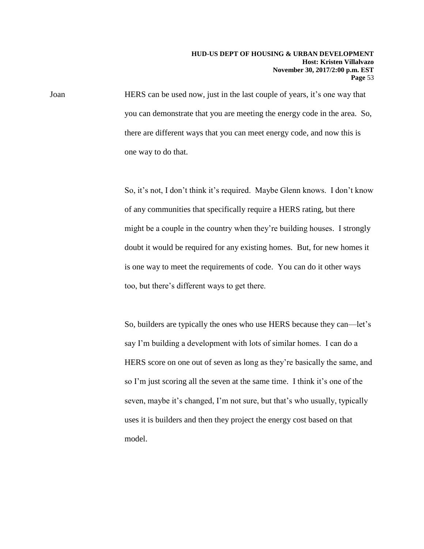Joan HERS can be used now, just in the last couple of years, it's one way that you can demonstrate that you are meeting the energy code in the area. So, there are different ways that you can meet energy code, and now this is one way to do that.

> So, it's not, I don't think it's required. Maybe Glenn knows. I don't know of any communities that specifically require a HERS rating, but there might be a couple in the country when they're building houses. I strongly doubt it would be required for any existing homes. But, for new homes it is one way to meet the requirements of code. You can do it other ways too, but there's different ways to get there.

> So, builders are typically the ones who use HERS because they can—let's say I'm building a development with lots of similar homes. I can do a HERS score on one out of seven as long as they're basically the same, and so I'm just scoring all the seven at the same time. I think it's one of the seven, maybe it's changed, I'm not sure, but that's who usually, typically uses it is builders and then they project the energy cost based on that model.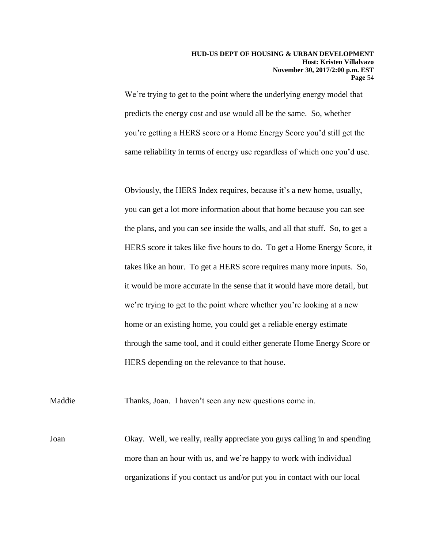We're trying to get to the point where the underlying energy model that predicts the energy cost and use would all be the same. So, whether you're getting a HERS score or a Home Energy Score you'd still get the same reliability in terms of energy use regardless of which one you'd use.

Obviously, the HERS Index requires, because it's a new home, usually, you can get a lot more information about that home because you can see the plans, and you can see inside the walls, and all that stuff. So, to get a HERS score it takes like five hours to do. To get a Home Energy Score, it takes like an hour. To get a HERS score requires many more inputs. So, it would be more accurate in the sense that it would have more detail, but we're trying to get to the point where whether you're looking at a new home or an existing home, you could get a reliable energy estimate through the same tool, and it could either generate Home Energy Score or HERS depending on the relevance to that house.

Maddie Thanks, Joan. I haven't seen any new questions come in.

Joan Okay. Well, we really, really appreciate you guys calling in and spending more than an hour with us, and we're happy to work with individual organizations if you contact us and/or put you in contact with our local